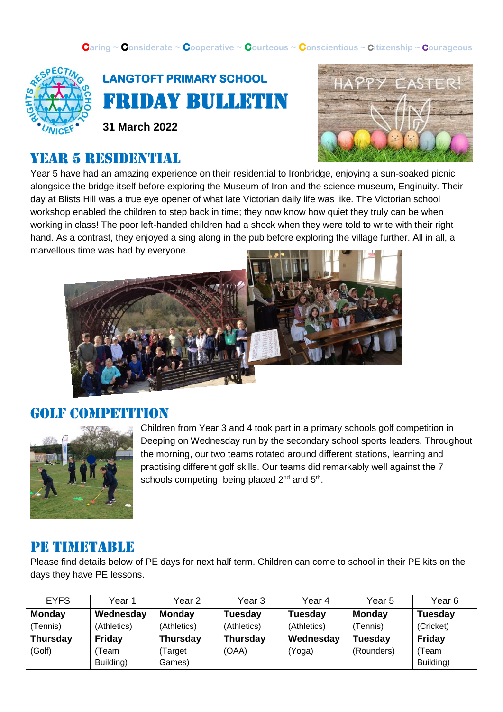**Caring ~ Considerate ~ Cooperative ~ Courteous ~ Conscientious ~ Citizenship ~ Courageous**





**31 March 2022**

## year 5 residential



Year 5 have had an amazing experience on their residential to Ironbridge, enjoying a sun-soaked picnic alongside the bridge itself before exploring the Museum of Iron and the science museum, Enginuity. Their day at Blists Hill was a true eye opener of what late Victorian daily life was like. The Victorian school workshop enabled the children to step back in time; they now know how quiet they truly can be when working in class! The poor left-handed children had a shock when they were told to write with their right hand. As a contrast, they enjoyed a sing along in the pub before exploring the village further. All in all, a marvellous time was had by everyone.



#### Golf competition



Children from Year 3 and 4 took part in a primary schools golf competition in Deeping on Wednesday run by the secondary school sports leaders. Throughout the morning, our two teams rotated around different stations, learning and practising different golf skills. Our teams did remarkably well against the 7 schools competing, being placed  $2^{nd}$  and  $5^{th}$ .

#### PE TIMETABLE

Please find details below of PE days for next half term. Children can come to school in their PE kits on the days they have PE lessons.

| <b>EYFS</b>     | Year 1        | Year 2          | Year 3          | Year 4         | Year <sub>5</sub> | Year 6         |
|-----------------|---------------|-----------------|-----------------|----------------|-------------------|----------------|
| Monday          | Wednesday     | <b>Monday</b>   | <b>Tuesday</b>  | <b>Tuesday</b> | <b>Monday</b>     | <b>Tuesday</b> |
| (Tennis)        | (Athletics)   | (Athletics)     | (Athletics)     | (Athletics)    | (Tennis)          | (Cricket)      |
| <b>Thursday</b> | <b>Friday</b> | <b>Thursday</b> | <b>Thursday</b> | Wednesday      | <b>Tuesday</b>    | Friday         |
| (Golf)          | Team          | (Target         | (OAA)           | (Yoga)         | (Rounders)        | (Team          |
|                 | Building)     | Games)          |                 |                |                   | Building)      |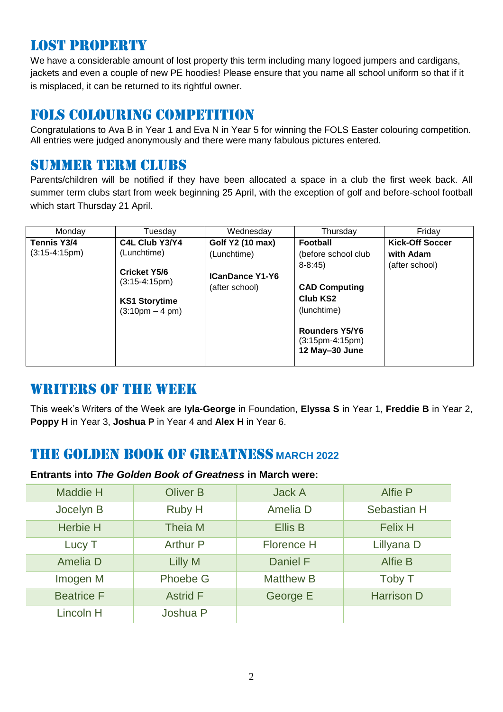### Lost property

We have a considerable amount of lost property this term including many logoed jumpers and cardigans, jackets and even a couple of new PE hoodies! Please ensure that you name all school uniform so that if it is misplaced, it can be returned to its rightful owner.

#### Fols colouring competition

Congratulations to Ava B in Year 1 and Eva N in Year 5 for winning the FOLS Easter colouring competition. All entries were judged anonymously and there were many fabulous pictures entered.

#### SUMMER TERM CLUBS

Parents/children will be notified if they have been allocated a space in a club the first week back. All summer term clubs start from week beginning 25 April, with the exception of golf and before-school football which start Thursday 21 April.

| Monday          | Tuesday                                | Wednesday              | Thursday              | Friday                 |
|-----------------|----------------------------------------|------------------------|-----------------------|------------------------|
| Tennis Y3/4     | C4L Club Y3/Y4                         | Golf Y2 (10 max)       | Football              | <b>Kick-Off Soccer</b> |
| $(3:15-4:15pm)$ | (Lunchtime)                            | (Lunchtime)            | (before school club   | with Adam              |
|                 |                                        |                        | $8 - 8:45$            | (after school)         |
|                 | <b>Cricket Y5/6</b><br>$(3:15-4:15pm)$ | <b>ICanDance Y1-Y6</b> |                       |                        |
|                 |                                        | (after school)         | <b>CAD Computing</b>  |                        |
|                 | <b>KS1 Storytime</b>                   |                        | Club KS <sub>2</sub>  |                        |
|                 | $(3:10 \text{pm} - 4 \text{pm})$       |                        | (lunchtime)           |                        |
|                 |                                        |                        |                       |                        |
|                 |                                        |                        | <b>Rounders Y5/Y6</b> |                        |
|                 |                                        |                        | $(3:15pm-4:15pm)$     |                        |
|                 |                                        |                        | 12 May-30 June        |                        |
|                 |                                        |                        |                       |                        |

#### WRITERS OF THE WEEK

This week's Writers of the Week are **Iyla-George** in Foundation, **Elyssa S** in Year 1, **Freddie B** in Year 2, **Poppy H** in Year 3, **Joshua P** in Year 4 and **Alex H** in Year 6.

### THE GOLDEN BOOK OF GREATNESS **MARCH 2022**

#### **Entrants into** *The Golden Book of Greatness* **in March were:**

| <b>Maddie H</b>   | <b>Oliver B</b> | <b>Jack A</b>     | <b>Alfie P</b>    |
|-------------------|-----------------|-------------------|-------------------|
| Jocelyn B         | Ruby H          | Amelia D          | Sebastian H       |
| <b>Herbie H</b>   | Theia M         | <b>Ellis B</b>    | <b>Felix H</b>    |
| Lucy T            | <b>Arthur P</b> | <b>Florence H</b> | Lillyana D        |
| Amelia D          | Lilly M         | <b>Daniel F</b>   | Alfie B           |
| Imogen M          | <b>Phoebe G</b> | <b>Matthew B</b>  | Toby T            |
| <b>Beatrice F</b> | <b>Astrid F</b> | George E          | <b>Harrison D</b> |
| Lincoln H         | Joshua P        |                   |                   |